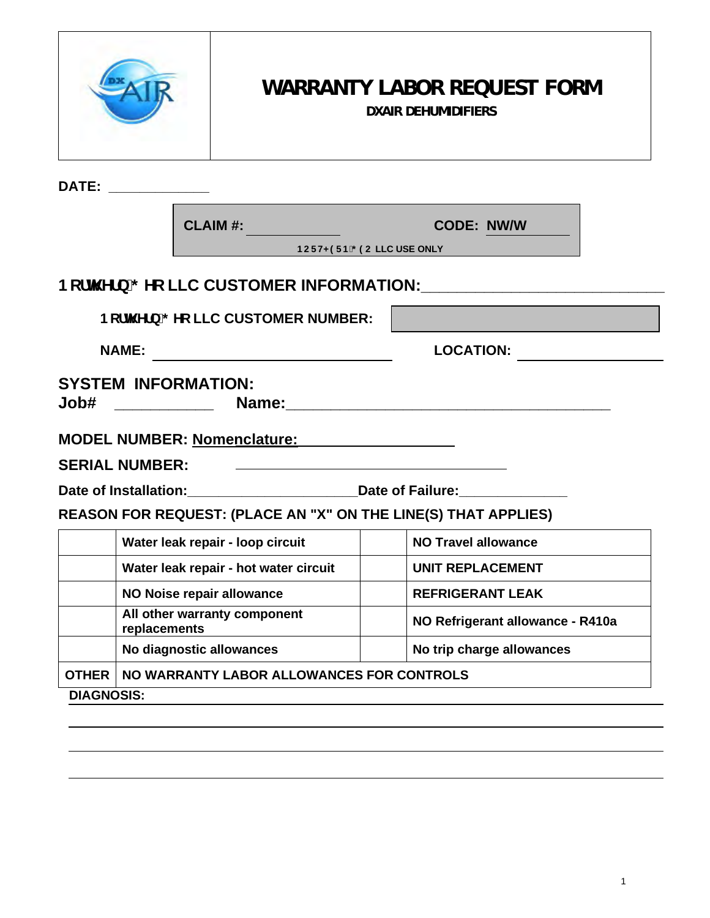|                                                                                   | <b>WARRANTY LABOR REQUEST FORM</b><br><b>DXAIR DEHUMIDIFIERS</b> |  |                                                 |  |
|-----------------------------------------------------------------------------------|------------------------------------------------------------------|--|-------------------------------------------------|--|
| DATE: ______________                                                              |                                                                  |  |                                                 |  |
|                                                                                   | <b>CLAIM #:</b>                                                  |  | <b>CODE: NW/W</b><br>BCFH<9FB'; 9C LLC USE ONLY |  |
|                                                                                   |                                                                  |  |                                                 |  |
|                                                                                   | BcfN Yfb'; Yc LLC CUSTOMER NUMBER:                               |  |                                                 |  |
| <b>NAME:</b><br><u> 1989 - Jan James James Start Barbara (</u>                    |                                                                  |  | <b>LOCATION:</b>                                |  |
| <b>SYSTEM INFORMATION:</b>                                                        |                                                                  |  |                                                 |  |
| MODEL NUMBER: Nomenclature: MODEL NUMBER: Nomenclature:                           |                                                                  |  |                                                 |  |
| <b>SERIAL NUMBER:</b><br><u> 1980 - Johann Stoff, fransk politik (d. 1980)</u>    |                                                                  |  |                                                 |  |
| Date of Installation: _______________________________Date of Failure: ___________ |                                                                  |  |                                                 |  |
| REASON FOR REQUEST: (PLACE AN "X" ON THE LINE(S) THAT APPLIES)                    |                                                                  |  |                                                 |  |
|                                                                                   | Water leak repair - loop circuit                                 |  | <b>NO Travel allowance</b>                      |  |
|                                                                                   | Water leak repair - hot water circuit                            |  | <b>UNIT REPLACEMENT</b>                         |  |
|                                                                                   | NO Noise repair allowance                                        |  | <b>REFRIGERANT LEAK</b>                         |  |
| replacements                                                                      | All other warranty component                                     |  | NO Refrigerant allowance - R410a                |  |
|                                                                                   | No diagnostic allowances                                         |  | No trip charge allowances                       |  |
| <b>OTHER</b>                                                                      | NO WARRANTY LABOR ALLOWANCES FOR CONTROLS                        |  |                                                 |  |
| <b>DIAGNOSIS:</b>                                                                 |                                                                  |  |                                                 |  |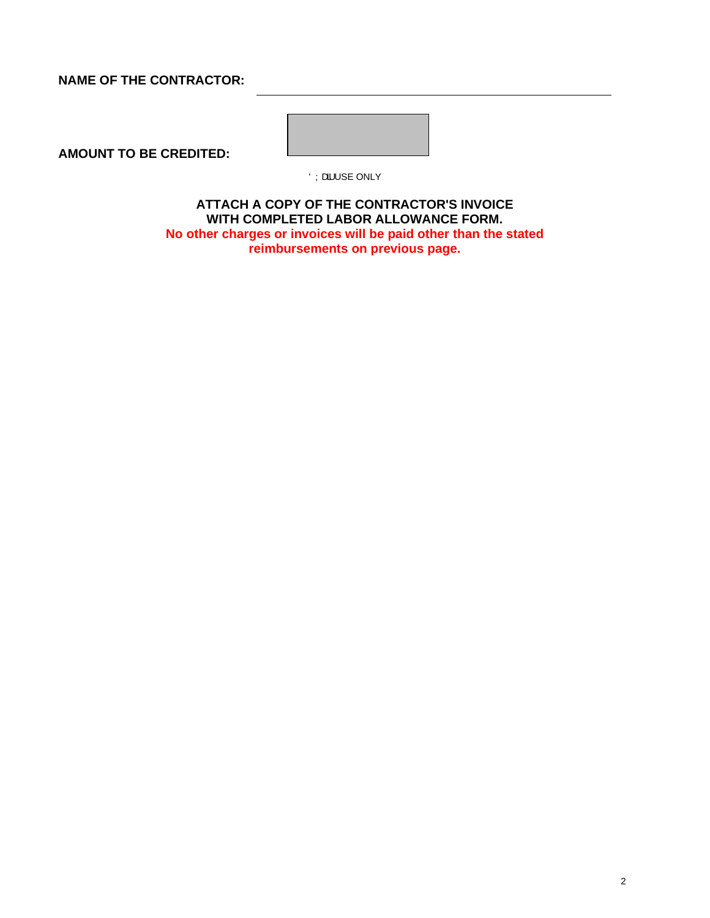## **NAME OF THE CONTRACTOR:**

**AMOUNT TO BE CREDITED:**



ÖÝæå USE ONLY

**ATTACH A COPY OF THE CONTRACTOR'S INVOICE WITH COMPLETED LABOR ALLOWANCE FORM. No other charges or invoices will be paid other than the stated reimbursements on previous page.**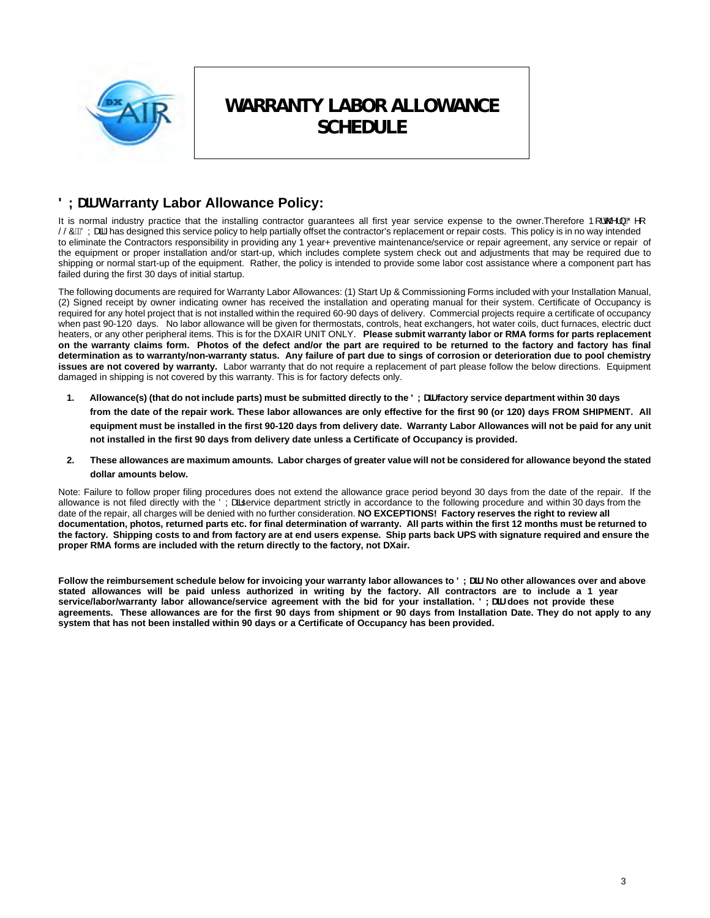

# **WARRANTY LABOR ALLOWANCE SCHEDULE**

# **8 LUff Warranty Labor Allowance Policy:**

It is normal industry practice that the installing contractor guarantees all first year service expense to the owner.Therefore  $PI \otimes \mathcal{O} \setminus \mathcal{O} \cap I$ SSOACOY and Dhas designed this service policy to help partially offset the contractor's replacement or repair costs. This policy is in no way intended to eliminate the Contractors responsibility in providing any 1 year+ preventive maintenance/service or repair agreement, any service or repair of the equipment or proper installation and/or start-up, which includes complete system check out and adjustments that may be required due to shipping or normal start-up of the equipment. Rather, the policy is intended to provide some labor cost assistance where a component part has failed during the first 30 days of initial startup.

The following documents are required for Warranty Labor Allowances: (1) Start Up & Commissioning Forms included with your Installation Manual, (2) Signed receipt by owner indicating owner has received the installation and operating manual for their system. Certificate of Occupancy is required for any hotel project that is not installed within the required 60-90 days of delivery. Commercial projects require a certificate of occupancy when past 90-120 days. No labor allowance will be given for thermostats, controls, heat exchangers, hot water coils, duct furnaces, electric duct heaters, or any other peripheral items. This is for the DXAIR UNIT ONLY. **Please submit warranty labor or RMA forms for parts replacement on the warranty claims form. Photos of the defect and/or the part are required to be returned to the factory and factory has final determination as to warranty/non-warranty status. Any failure of part due to sings of corrosion or deterioration due to pool chemistry issues are not covered by warranty.** Labor warranty that do not require a replacement of part please follow the below directions. Equipment damaged in shipping is not covered by this warranty. This is for factory defects only.

- 1. Allowance(s) (that do not include parts) must be submitted directly to the 8 LU ffactory service department within 30 days **from the date of the repair work. These labor allowances are only effective for the first 90 (or 120) days FROM SHIPMENT. All equipment must be installed in the first 90-120 days from delivery date. Warranty Labor Allowances will not be paid for any unit not installed in the first 90 days from delivery date unless a Certificate of Occupancy is provided.**
- **2. These allowances are maximum amounts. Labor charges of greater value will not be considered for allowance beyond the stated dollar amounts below.**

Note: Failure to follow proper filing procedures does not extend the allowance grace period beyond 30 days from the date of the repair. If the allowance is not filed directly with the ÖYasservice department strictly in accordance to the following procedure and within 30 days from the date of the repair, all charges will be denied with no further consideration. **NO EXCEPTIONS! Factory reserves the right to review all documentation, photos, returned parts etc. for final determination of warranty. All parts within the first 12 months must be returned to the factory. Shipping costs to and from factory are at end users expense. Ship parts back UPS with signature required and ensure the proper RMA forms are included with the return directly to the factory, not DXair.** 

Follow the reimbursement schedule below for invoicing your warranty labor allowances to 8 LUff. No other allowances over and above **stated allowances will be paid unless authorized in writing by the factory. All contractors are to include a 1 year**  service/labor/warranty labor allowance/service agreement with the bid for your installation. 8 LUff does not provide these **agreements. These allowances are for the first 90 days from shipment or 90 days from Installation Date. They do not apply to any system that has not been installed within 90 days or a Certificate of Occupancy has been provided.**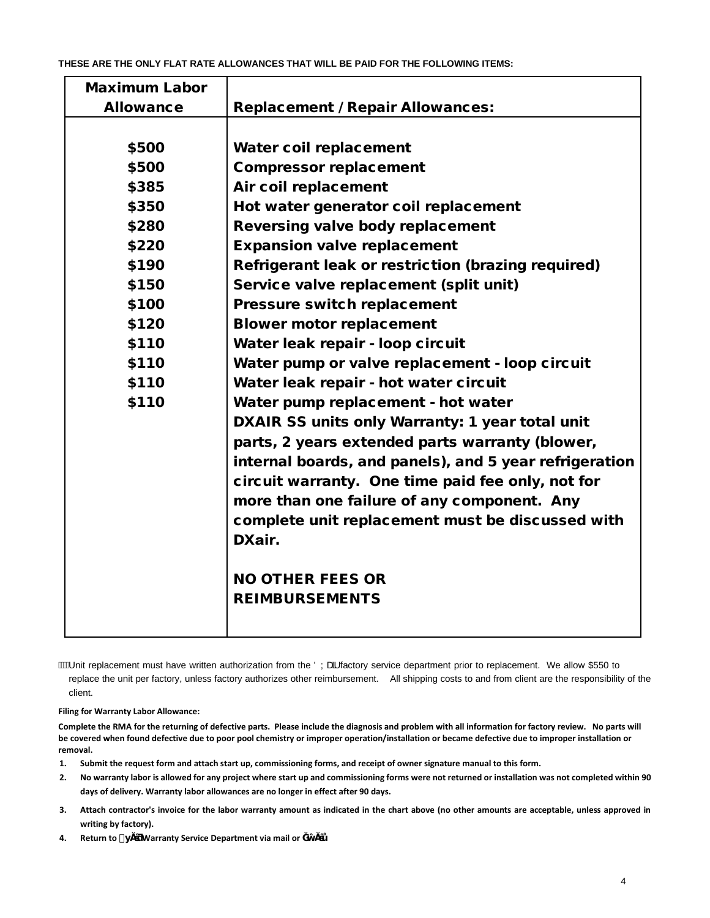| <b>Maximum Labor</b> |                                                        |  |
|----------------------|--------------------------------------------------------|--|
| <b>Allowance</b>     | <b>Replacement / Repair Allowances:</b>                |  |
|                      |                                                        |  |
| \$500                | Water coil replacement                                 |  |
| \$500                | <b>Compressor replacement</b>                          |  |
| \$385                | Air coil replacement                                   |  |
| \$350                | Hot water generator coil replacement                   |  |
| \$280                | <b>Reversing valve body replacement</b>                |  |
| \$220                | <b>Expansion valve replacement</b>                     |  |
| \$190                | Refrigerant leak or restriction (brazing required)     |  |
| \$150                | Service valve replacement (split unit)                 |  |
| \$100                | <b>Pressure switch replacement</b>                     |  |
| \$120                | <b>Blower motor replacement</b>                        |  |
| \$110                | Water leak repair - loop circuit                       |  |
| \$110                | Water pump or valve replacement - loop circuit         |  |
| \$110                | Water leak repair - hot water circuit                  |  |
| \$110                | Water pump replacement - hot water                     |  |
|                      | DXAIR SS units only Warranty: 1 year total unit        |  |
|                      | parts, 2 years extended parts warranty (blower,        |  |
|                      | internal boards, and panels), and 5 year refrigeration |  |
|                      | circuit warranty. One time paid fee only, not for      |  |
|                      | more than one failure of any component. Any            |  |
|                      | complete unit replacement must be discussed with       |  |
|                      | DXair.                                                 |  |
|                      |                                                        |  |
|                      | <b>NO OTHER FEES OR</b>                                |  |
|                      | <b>REIMBURSEMENTS</b>                                  |  |
|                      |                                                        |  |

*i*. Wi Unit replacement must have written authorization from the ÖÝa factory service department prior to replacement. We allow \$550 to replace the unit per factory, unless factory authorizes other reimbursement. All shipping costs to and from client are the responsibility of the client.

**Filing for Warranty Labor Allowance:**

**Complete the RMA for the returning of defective parts. Please include the diagnosis and problem with all information for factory review. No parts will be covered when found defective due to poor pool chemistry or improper operation/installation or became defective due to improper installation or removal.** 

- **1. Submit the request form and attach start up, commissioning forms, and receipt of owner signature manual to this form.**
- **2. No warranty labor is allowed for any project where start up and commissioning forms were not returned or installation was not completed within 90 days of delivery. Warranty labor allowances are no longer in effect after 90 days.**
- **3. Attach contractor's invoice for the labor warranty amount as indicated in the chart above (no other amounts are acceptable, unless approved in writing by factory).**
- **4. Return to ) Œ** Warranty Service Department via mail or